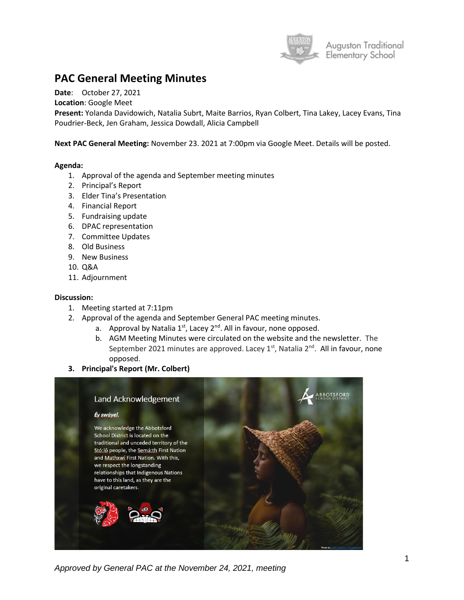

# **PAC General Meeting Minutes**

**Date**: October 27, 2021

**Location**: Google Meet

**Present:** Yolanda Davidowich, Natalia Subrt, Maite Barrios, Ryan Colbert, Tina Lakey, Lacey Evans, Tina Poudrier-Beck, Jen Graham, Jessica Dowdall, Alicia Campbell

**Next PAC General Meeting:** November 23. 2021 at 7:00pm via Google Meet. Details will be posted.

# **Agenda:**

- 1. Approval of the agenda and September meeting minutes
- 2. Principal's Report
- 3. Elder Tina's Presentation
- 4. Financial Report
- 5. Fundraising update
- 6. DPAC representation
- 7. Committee Updates
- 8. Old Business
- 9. New Business
- 10. Q&A
- 11. Adjournment

#### **Discussion:**

- 1. Meeting started at 7:11pm
- 2. Approval of the agenda and September General PAC meeting minutes.
	- a. Approval by Natalia 1st, Lacey 2<sup>nd</sup>. All in favour, none opposed.
	- b. AGM Meeting Minutes were circulated on the website and the newsletter. The September 2021 minutes are approved. Lacey 1<sup>st</sup>, Natalia 2<sup>nd</sup>. All in favour, none opposed.

# **3. Principal's Report (Mr. Colbert)**



*Approved by General PAC at the November 24, 2021, meeting*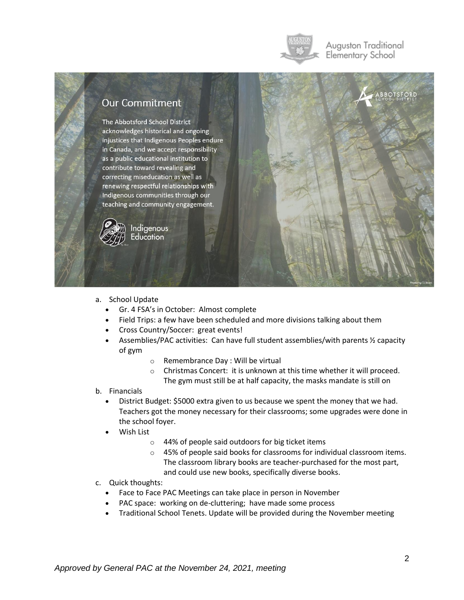

Auguston Traditional Elementary School

# **Our Commitment**

The Abbotsford School District acknowledges historical and ongoing injustices that Indigenous Peoples endure in Canada, and we accept responsibility as a public educational institution to contribute toward revealing and correcting miseducation as well as renewing respectful relationships with Indigenous communities through our teaching and community engagement.



ndigenous Education



- a. School Update
	- Gr. 4 FSA's in October: Almost complete
	- Field Trips: a few have been scheduled and more divisions talking about them
	- Cross Country/Soccer: great events!
	- Assemblies/PAC activities: Can have full student assemblies/with parents 1/2 capacity of gym
		- o Remembrance Day : Will be virtual
		- o Christmas Concert: it is unknown at this time whether it will proceed. The gym must still be at half capacity, the masks mandate is still on
- b. Financials
	- District Budget: \$5000 extra given to us because we spent the money that we had. Teachers got the money necessary for their classrooms; some upgrades were done in the school foyer.
	- Wish List
		- o 44% of people said outdoors for big ticket items
		- $\circ$  45% of people said books for classrooms for individual classroom items. The classroom library books are teacher-purchased for the most part, and could use new books, specifically diverse books.
- c. Quick thoughts:
	- Face to Face PAC Meetings can take place in person in November
	- PAC space: working on de-cluttering; have made some process
	- Traditional School Tenets. Update will be provided during the November meeting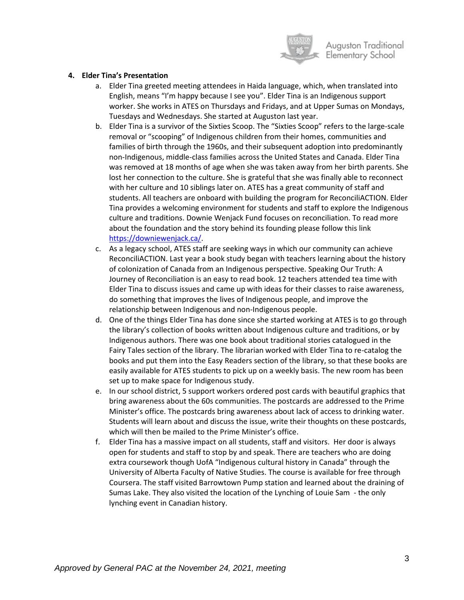

## **4. Elder Tina's Presentation**

- a. Elder Tina greeted meeting attendees in Haida language, which, when translated into English, means "I'm happy because I see you". Elder Tina is an Indigenous support worker. She works in ATES on Thursdays and Fridays, and at Upper Sumas on Mondays, Tuesdays and Wednesdays. She started at Auguston last year.
- b. Elder Tina is a survivor of the Sixties Scoop. The "Sixties Scoop" refers to the large-scale removal or "scooping" of [Indigenous](https://www.thecanadianencyclopedia.ca/en/article/aboriginal-people) children from their homes, communities and families of birth through the 1960s, and their subsequent adoption into predominantly non-Indigenous, middle-class families across the United States and Canada. Elder Tina was removed at 18 months of age when she was taken away from her birth parents. She lost her connection to the culture. She is grateful that she was finally able to reconnect with her culture and 10 siblings later on. ATES has a great community of staff and students. All teachers are onboard with building the program for ReconciliACTION. Elder Tina provides a welcoming environment for students and staff to explore the Indigenous culture and traditions. Downie Wenjack Fund focuses on reconciliation. To read more about the foundation and the story behind its founding please follow this link [https://downiewenjack.ca/.](https://downiewenjack.ca/)
- c. As a legacy school, ATES staff are seeking ways in which our community can achieve ReconciliACTION. Last year a book study began with teachers learning about the history of colonization of Canada from an Indigenous perspective. Speaking Our Truth: A Journey of Reconciliation is an easy to read book. 12 teachers attended tea time with Elder Tina to discuss issues and came up with ideas for their classes to raise awareness, do something that improves the lives of Indigenous people, and improve the relationship between Indigenous and non-Indigenous people.
- d. One of the things Elder Tina has done since she started working at ATES is to go through the library's collection of books written about Indigenous culture and traditions, or by Indigenous authors. There was one book about traditional stories catalogued in the Fairy Tales section of the library. The librarian worked with Elder Tina to re-catalog the books and put them into the Easy Readers section of the library, so that these books are easily available for ATES students to pick up on a weekly basis. The new room has been set up to make space for Indigenous study.
- e. In our school district, 5 support workers ordered post cards with beautiful graphics that bring awareness about the 60s communities. The postcards are addressed to the Prime Minister's office. The postcards bring awareness about lack of access to drinking water. Students will learn about and discuss the issue, write their thoughts on these postcards, which will then be mailed to the Prime Minister's office.
- f. Elder Tina has a massive impact on all students, staff and visitors. Her door is always open for students and staff to stop by and speak. There are teachers who are doing extra coursework though UofA "Indigenous cultural history in Canada" through the University of Alberta Faculty of Native Studies. The course is available for free through [Coursera.](https://www.coursera.org/learn/indigenous-canada) The staff visited Barrowtown Pump station and learned about the draining of Sumas Lake. They also visited the location of the Lynching of Louie Sam - the only lynching event in Canadian history.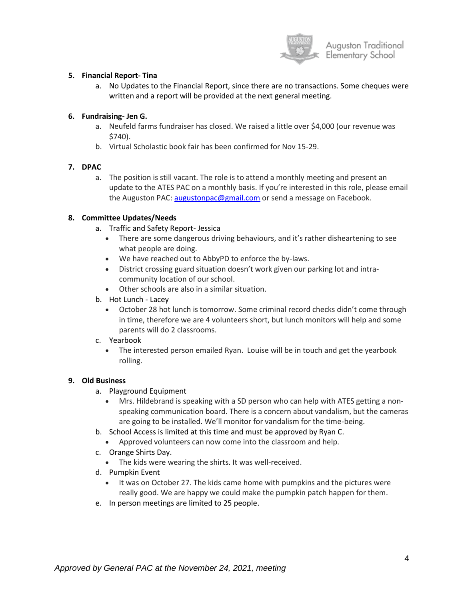

## **5. Financial Report- Tina**

a. No Updates to the Financial Report, since there are no transactions. Some cheques were written and a report will be provided at the next general meeting.

# **6. Fundraising- Jen G.**

- a. Neufeld farms fundraiser has closed. We raised a little over \$4,000 (our revenue was \$740).
- b. Virtual Scholastic book fair has been confirmed for Nov 15-29.

# **7. DPAC**

a. The position is still vacant. The role is to attend a monthly meeting and present an update to the ATES PAC on a monthly basis. If you're interested in this role, please email the Auguston PAC: [augustonpac@gmail.com](mailto:augustonpac@gmail.com) or send a message on Facebook.

# **8. Committee Updates/Needs**

- a. Traffic and Safety Report- Jessica
	- There are some dangerous driving behaviours, and it's rather disheartening to see what people are doing.
	- We have reached out to AbbyPD to enforce the by-laws.
	- District crossing guard situation doesn't work given our parking lot and intracommunity location of our school.
	- Other schools are also in a similar situation.
- b. Hot Lunch Lacey
	- October 28 hot lunch is tomorrow. Some criminal record checks didn't come through in time, therefore we are 4 volunteers short, but lunch monitors will help and some parents will do 2 classrooms.
- c. Yearbook
	- The interested person emailed Ryan. Louise will be in touch and get the yearbook rolling.

#### **9. Old Business**

- a. Playground Equipment
	- Mrs. Hildebrand is speaking with a SD person who can help with ATES getting a nonspeaking communication board. There is a concern about vandalism, but the cameras are going to be installed. We'll monitor for vandalism for the time-being.
- b. School Access is limited at this time and must be approved by Ryan C.
	- Approved volunteers can now come into the classroom and help.
- c. Orange Shirts Day.
	- The kids were wearing the shirts. It was well-received.
- d. Pumpkin Event
	- It was on October 27. The kids came home with pumpkins and the pictures were really good. We are happy we could make the pumpkin patch happen for them.
- e. In person meetings are limited to 25 people.